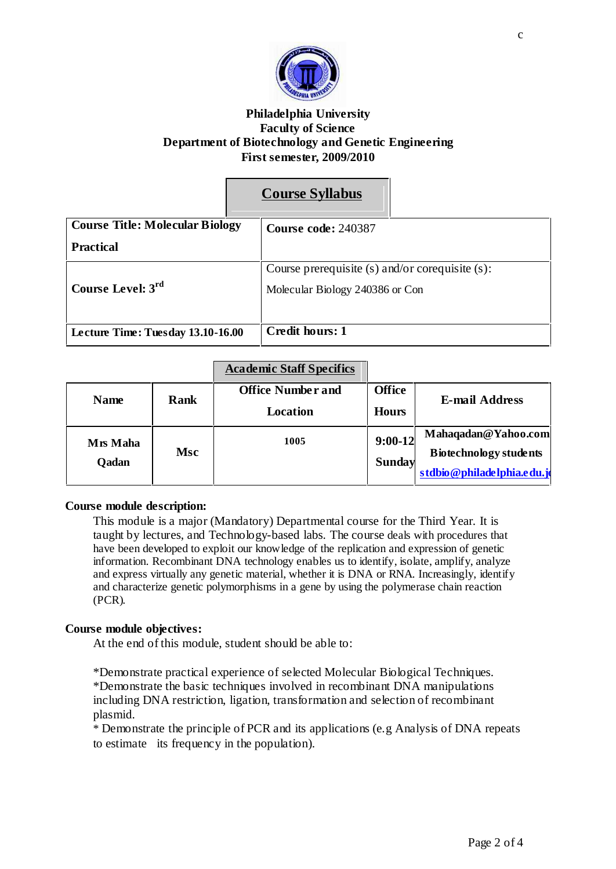

## **Philadelphia University Faculty of Science Department of Biotechnology and Genetic Engineering First semester, 2009/2010**

# **Course Syllabus**

| <b>Course Title: Molecular Biology</b> | Course code: 240387                                  |
|----------------------------------------|------------------------------------------------------|
| <b>Practical</b>                       |                                                      |
|                                        | Course prerequisite $(s)$ and/or corequisite $(s)$ : |
| Course Level: 3rd                      | Molecular Biology 240386 or Con                      |
| Lecture Time: Tuesday 13.10-16.00      | <b>Credit hours: 1</b>                               |

| <b>Academic Staff Specifics</b> |  |
|---------------------------------|--|
|                                 |  |
|                                 |  |
|                                 |  |

| <b>Name</b>              | <b>Rank</b> | <b>Office Number and</b><br><b>Location</b> | <b>Office</b><br><b>Hours</b> | <b>E-mail Address</b>                                                              |
|--------------------------|-------------|---------------------------------------------|-------------------------------|------------------------------------------------------------------------------------|
| Mrs Maha<br><b>Qadan</b> | <b>Msc</b>  | 1005                                        | $9:00-12$<br><b>Sunday</b>    | Mahaqadan@Yahoo.com<br><b>Biotechnology students</b><br>stdbio@philadelphia.edu.jo |

## **Course module description:**

This module is a major (Mandatory) Departmental course for the Third Year. It is taught by lectures, and Technology-based labs. The course deals with procedures that have been developed to exploit our knowledge of the replication and expression of genetic information. Recombinant DNA technology enables us to identify, isolate, amplify, analyze and express virtually any genetic material, whether it is DNA or RNA. Increasingly, identify and characterize genetic polymorphisms in a gene by using the polymerase chain reaction (PCR).

#### **Course module objectives:**

At the end of this module, student should be able to:

\*Demonstrate practical experience of selected Molecular Biological Techniques. \*Demonstrate the basic techniques involved in recombinant DNA manipulations including DNA restriction, ligation, transformation and selection of recombinant plasmid.

\* Demonstrate the principle of PCR and its applications (e.g Analysis of DNA repeats to estimate its frequency in the population).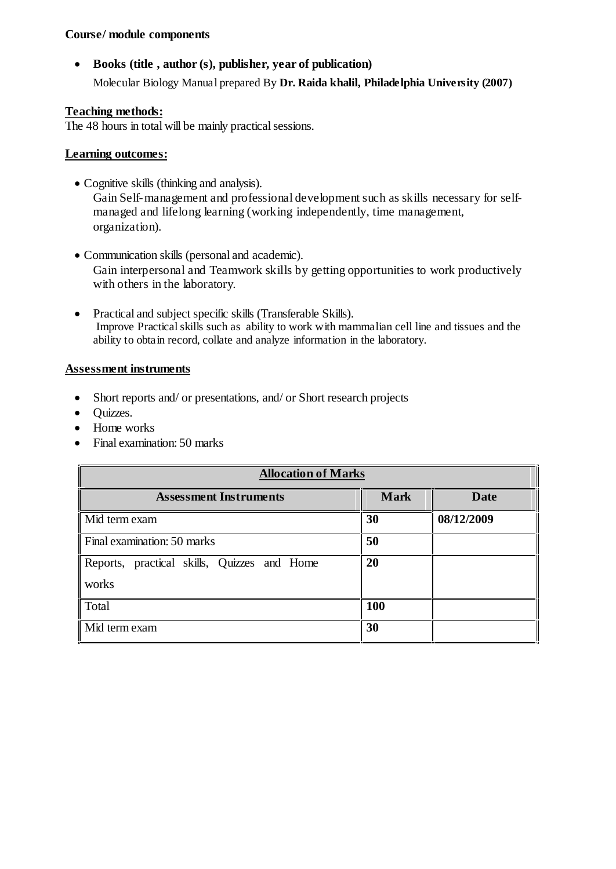## **Course/ module components**

 **Books (title , author (s), publisher, year of publication)** Molecular Biology Manual prepared By **Dr. Raida khalil, Philadelphia University (2007)**

## **Teaching methods:**

The 48 hours in total will be mainly practical sessions.

## **Learning outcomes:**

- Cognitive skills (thinking and analysis). Gain Self-management and professional development such as skills necessary for selfmanaged and lifelong learning (working independently, time management, organization).
- Communication skills (personal and academic). Gain interpersonal and Teamwork skills by getting opportunities to work productively with others in the laboratory.
- Practical and subject specific skills (Transferable Skills). Improve Practicalskills such as ability to work with mammalian cell line and tissues and the ability to obtain record, collate and analyze information in the laboratory.

#### **Assessment instruments**

- Short reports and/ or presentations, and/ or Short research projects
- Quizzes.
- Home works
- Final examination: 50 marks

| <b>Allocation of Marks</b>                  |             |             |  |  |
|---------------------------------------------|-------------|-------------|--|--|
| <b>Assessment Instruments</b>               | <b>Mark</b> | <b>Date</b> |  |  |
| Mid term exam                               | 30          | 08/12/2009  |  |  |
| Final examination: 50 marks                 | 50          |             |  |  |
| Reports, practical skills, Quizzes and Home | 20          |             |  |  |
| works                                       |             |             |  |  |
| Total                                       | <b>100</b>  |             |  |  |
| Mid term exam                               | 30          |             |  |  |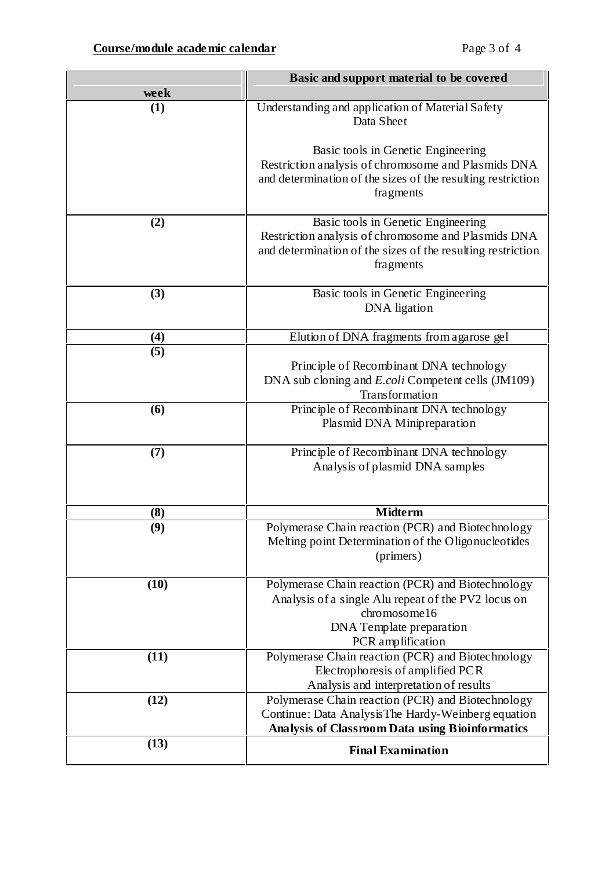|                   | Basic and support material to be covered                                                                                                                                  |  |  |
|-------------------|---------------------------------------------------------------------------------------------------------------------------------------------------------------------------|--|--|
| week              |                                                                                                                                                                           |  |  |
| (1)               | Understanding and application of Material Safety<br>Data Sheet                                                                                                            |  |  |
|                   | Basic tools in Genetic Engineering<br>Restriction analysis of chromosome and Plasmids DNA<br>and determination of the sizes of the resulting restriction<br>fragments     |  |  |
| (2)               | Basic tools in Genetic Engineering<br>Restriction analysis of chromosome and Plasmids DNA<br>and determination of the sizes of the resulting restriction<br>fragments     |  |  |
| (3)               | Basic tools in Genetic Engineering<br><b>DNA</b> ligation                                                                                                                 |  |  |
| $\left( 4\right)$ | Elution of DNA fragments from agarose gel                                                                                                                                 |  |  |
| (5)               | Principle of Recombinant DNA technology<br>DNA sub cloning and <i>E.coli</i> Competent cells (JM109)<br>Transformation                                                    |  |  |
| (6)               | Principle of Recombinant DNA technology<br>Plasmid DNA Minipreparation                                                                                                    |  |  |
| (7)               | Principle of Recombinant DNA technology<br>Analysis of plasmid DNA samples                                                                                                |  |  |
| (8)               | <b>Midterm</b>                                                                                                                                                            |  |  |
| (9)               | Polymerase Chain reaction (PCR) and Biotechnology<br>Melting point Determination of the Oligonucleotides<br>(primers)                                                     |  |  |
| (10)              | Polymerase Chain reaction (PCR) and Biotechnology<br>Analysis of a single Alu repeat of the PV2 locus on<br>chromosome16<br>DNA Template preparation<br>PCR amplification |  |  |
| (11)              | Polymerase Chain reaction (PCR) and Biotechnology<br>Electrophoresis of amplified PCR<br>Analysis and interpretation of results                                           |  |  |
| (12)              | Polymerase Chain reaction (PCR) and Biotechnology<br>Continue: Data Analysis The Hardy-Weinberg equation<br>Analysis of Classroom Data using Bioinformatics               |  |  |
| (13)              | <b>Final Examination</b>                                                                                                                                                  |  |  |